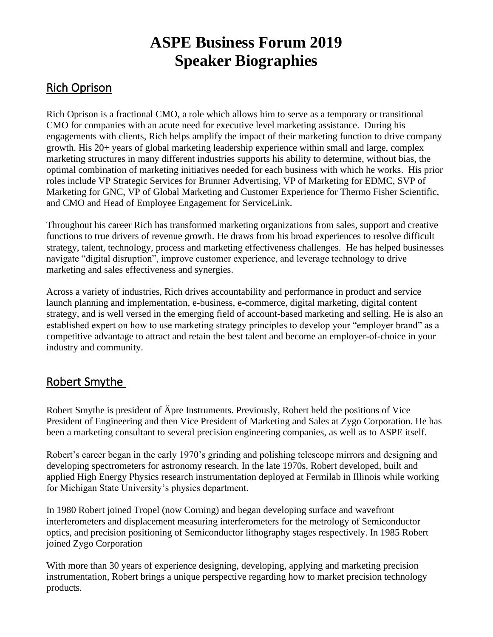# **ASPE Business Forum 2019 Speaker Biographies**

### Rich Oprison

Rich Oprison is a fractional CMO, a role which allows him to serve as a temporary or transitional CMO for companies with an acute need for executive level marketing assistance. During his engagements with clients, Rich helps amplify the impact of their marketing function to drive company growth. His 20+ years of global marketing leadership experience within small and large, complex marketing structures in many different industries supports his ability to determine, without bias, the optimal combination of marketing initiatives needed for each business with which he works. His prior roles include VP Strategic Services for Brunner Advertising, VP of Marketing for EDMC, SVP of Marketing for GNC, VP of Global Marketing and Customer Experience for Thermo Fisher Scientific, and CMO and Head of Employee Engagement for ServiceLink.

Throughout his career Rich has transformed marketing organizations from sales, support and creative functions to true drivers of revenue growth. He draws from his broad experiences to resolve difficult strategy, talent, technology, process and marketing effectiveness challenges. He has helped businesses navigate "digital disruption", improve customer experience, and leverage technology to drive marketing and sales effectiveness and synergies.

Across a variety of industries, Rich drives accountability and performance in product and service launch planning and implementation, e-business, e-commerce, digital marketing, digital content strategy, and is well versed in the emerging field of account-based marketing and selling. He is also an established expert on how to use marketing strategy principles to develop your "employer brand" as a competitive advantage to attract and retain the best talent and become an employer-of-choice in your industry and community.

## Robert Smythe

Robert Smythe is president of Äpre Instruments. Previously, Robert held the positions of Vice President of Engineering and then Vice President of Marketing and Sales at Zygo Corporation. He has been a marketing consultant to several precision engineering companies, as well as to ASPE itself.

Robert's career began in the early 1970's grinding and polishing telescope mirrors and designing and developing spectrometers for astronomy research. In the late 1970s, Robert developed, built and applied High Energy Physics research instrumentation deployed at Fermilab in Illinois while working for Michigan State University's physics department.

In 1980 Robert joined Tropel (now Corning) and began developing surface and wavefront interferometers and displacement measuring interferometers for the metrology of Semiconductor optics, and precision positioning of Semiconductor lithography stages respectively. In 1985 Robert joined Zygo Corporation

With more than 30 years of experience designing, developing, applying and marketing precision instrumentation, Robert brings a unique perspective regarding how to market precision technology products.